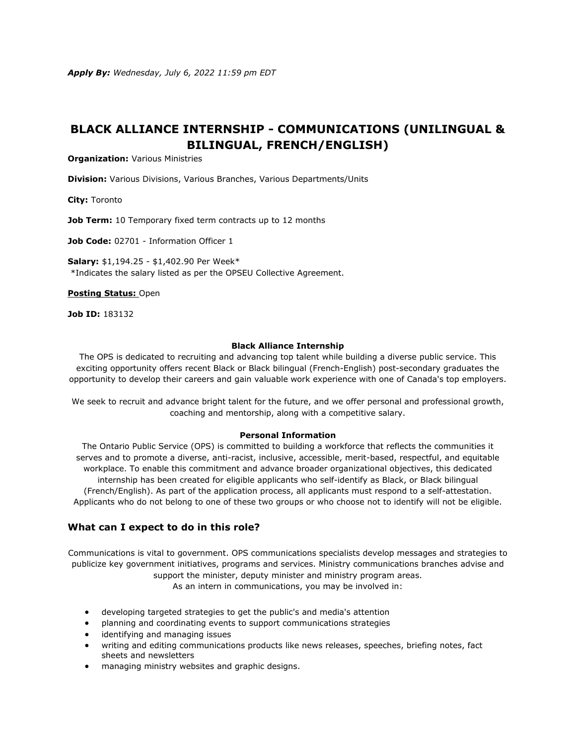# **BLACK ALLIANCE INTERNSHIP - COMMUNICATIONS (UNILINGUAL & BILINGUAL, FRENCH/ENGLISH)**

**Organization:** Various Ministries

**Division:** Various Divisions, Various Branches, Various Departments/Units

**City:** Toronto

**Job Term:** 10 Temporary fixed term contracts up to 12 months

**Job Code:** 02701 - Information Officer 1

**Salary:** \$1,194.25 - \$1,402.90 Per Week\* \*Indicates the salary listed as per the OPSEU Collective Agreement.

**[Posting Status:](https://www.ontario.ca/page/careers-job-ad-definitions)** Open

**Job ID:** 183132

#### **Black Alliance Internship**

The OPS is dedicated to recruiting and advancing top talent while building a diverse public service. This exciting opportunity offers recent Black or Black bilingual (French-English) post-secondary graduates the opportunity to develop their careers and gain valuable work experience with one of Canada's top employers.

We seek to recruit and advance bright talent for the future, and we offer personal and professional growth, coaching and mentorship, along with a competitive salary.

#### **Personal Information**

The Ontario Public Service (OPS) is committed to building a workforce that reflects the communities it serves and to promote a diverse, anti-racist, inclusive, accessible, merit-based, respectful, and equitable workplace. To enable this commitment and advance broader organizational objectives, this dedicated internship has been created for eligible applicants who self-identify as Black, or Black bilingual (French/English). As part of the application process, all applicants must respond to a self-attestation. Applicants who do not belong to one of these two groups or who choose not to identify will not be eligible.

## **What can I expect to do in this role?**

Communications is vital to government. OPS communications specialists develop messages and strategies to publicize key government initiatives, programs and services. Ministry communications branches advise and support the minister, deputy minister and ministry program areas.

As an intern in communications, you may be involved in:

- developing targeted strategies to get the public's and media's attention
- planning and coordinating events to support communications strategies
- identifying and managing issues
- writing and editing communications products like news releases, speeches, briefing notes, fact sheets and newsletters
- managing ministry websites and graphic designs.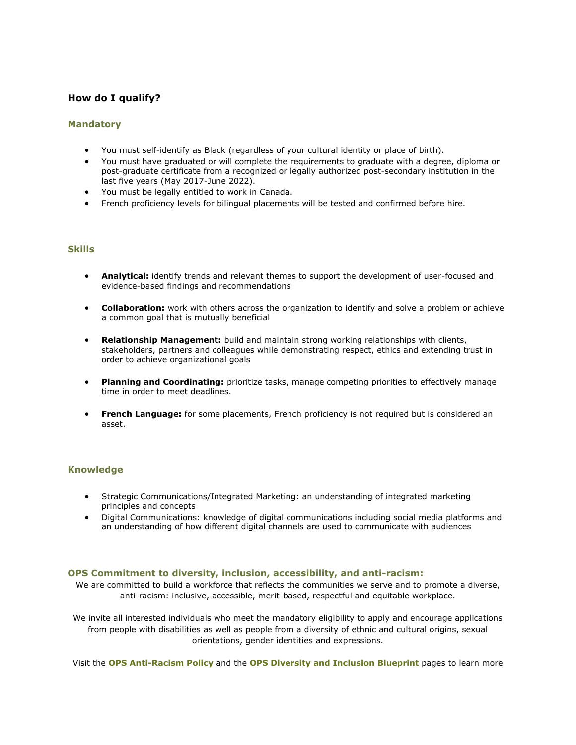## **How do I qualify?**

### **Mandatory**

- You must self-identify as Black (regardless of your cultural identity or place of birth).
- You must have graduated or will complete the requirements to graduate with a degree, diploma or post-graduate certificate from a recognized or legally authorized post-secondary institution in the last five years (May 2017-June 2022).
- You must be legally entitled to work in Canada.
- French proficiency levels for bilingual placements will be tested and confirmed before hire.

## **Skills**

- **Analytical:** identify trends and relevant themes to support the development of user-focused and evidence-based findings and recommendations
- **Collaboration:** work with others across the organization to identify and solve a problem or achieve a common goal that is mutually beneficial
- **Relationship Management:** build and maintain strong working relationships with clients, stakeholders, partners and colleagues while demonstrating respect, ethics and extending trust in order to achieve organizational goals
- **Planning and Coordinating:** prioritize tasks, manage competing priorities to effectively manage time in order to meet deadlines.
- **French Language:** for some placements, French proficiency is not required but is considered an asset.

## **Knowledge**

- Strategic Communications/Integrated Marketing: an understanding of integrated marketing principles and concepts
- Digital Communications: knowledge of digital communications including social media platforms and an understanding of how different digital channels are used to communicate with audiences

#### **OPS Commitment to diversity, inclusion, accessibility, and anti-racism:**

We are committed to build a workforce that reflects the communities we serve and to promote a diverse, anti-racism: inclusive, accessible, merit-based, respectful and equitable workplace.

We invite all interested individuals who meet the mandatory eligibility to apply and encourage applications from people with disabilities as well as people from a diversity of ethnic and cultural origins, sexual orientations, gender identities and expressions.

Visit the **[OPS Anti-Racism Policy](https://www.ontario.ca/page/ontario-public-service-anti-racism-policy)** and the **[OPS Diversity and Inclusion Blueprint](https://www.ontario.ca/page/ops-inclusion-diversity-blueprint)** pages to learn more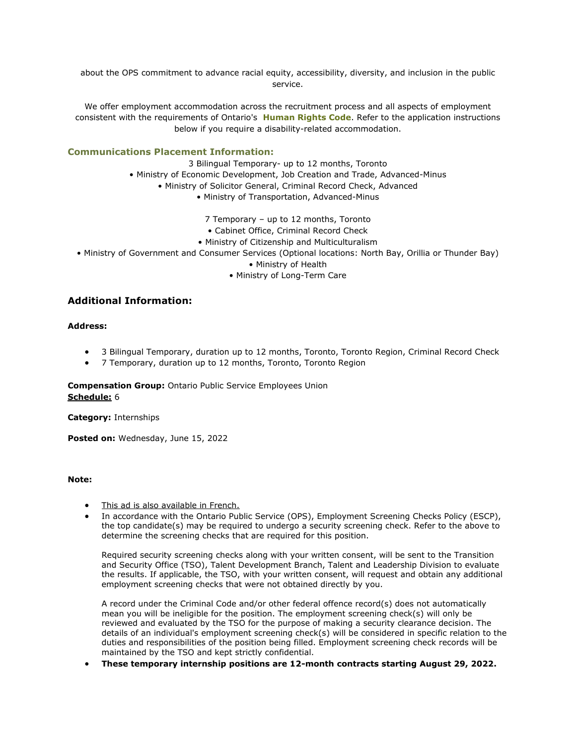about the OPS commitment to advance racial equity, accessibility, diversity, and inclusion in the public service.

We offer employment accommodation across the recruitment process and all aspects of employment consistent with the requirements of Ontario's **[Human Rights Code](https://www.ohrc.on.ca/en/ontario-human-rights-code)**. Refer to the application instructions below if you require a disability-related accommodation.

## **Communications Placement Information:**

3 Bilingual Temporary- up to 12 months, Toronto

• Ministry of Economic Development, Job Creation and Trade, Advanced-Minus

- Ministry of Solicitor General, Criminal Record Check, Advanced
	- Ministry of Transportation, Advanced-Minus
		- 7 Temporary up to 12 months, Toronto
		- Cabinet Office, Criminal Record Check
	- Ministry of Citizenship and Multiculturalism
- Ministry of Government and Consumer Services (Optional locations: North Bay, Orillia or Thunder Bay)
	- Ministry of Health
	- Ministry of Long-Term Care

## **Additional Information:**

### **Address:**

- 3 Bilingual Temporary, duration up to 12 months, Toronto, Toronto Region, Criminal Record Check
- 7 Temporary, duration up to 12 months, Toronto, Toronto Region

**Compensation Group:** Ontario Public Service Employees Union **[Schedule:](https://www.ontario.ca/page/careers-job-ad-definitions)** 6

**Category:** Internships

Posted on: Wednesday, June 15, 2022

#### **Note:**

- [This ad is also available in French.](https://www.gojobs.gov.on.ca/Preview.aspx?Language=French&JobID=183132)
- In accordance with the Ontario Public Service (OPS), Employment Screening Checks Policy (ESCP), the top candidate(s) may be required to undergo a security screening check. Refer to the above to determine the screening checks that are required for this position.

Required security screening checks along with your written consent, will be sent to the Transition and Security Office (TSO), Talent Development Branch, Talent and Leadership Division to evaluate the results. If applicable, the TSO, with your written consent, will request and obtain any additional employment screening checks that were not obtained directly by you.

A record under the Criminal Code and/or other federal offence record(s) does not automatically mean you will be ineligible for the position. The employment screening check(s) will only be reviewed and evaluated by the TSO for the purpose of making a security clearance decision. The details of an individual's employment screening check(s) will be considered in specific relation to the duties and responsibilities of the position being filled. Employment screening check records will be maintained by the TSO and kept strictly confidential.

• **These temporary internship positions are 12-month contracts starting August 29, 2022.**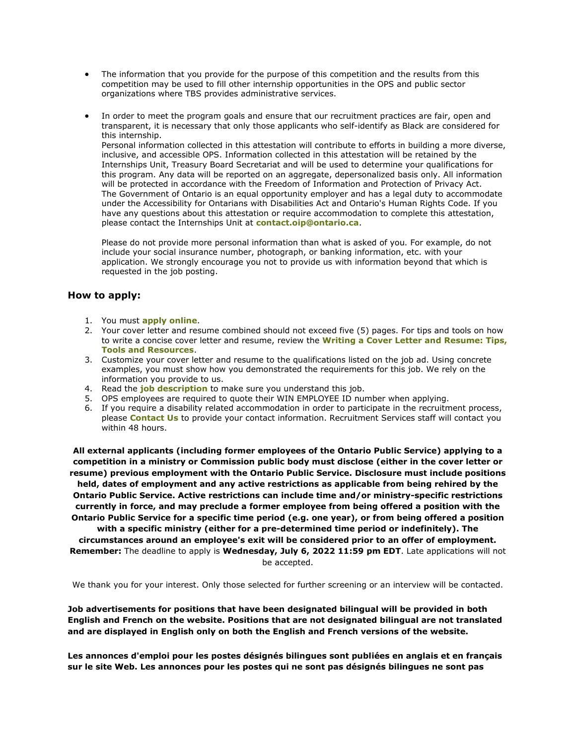- The information that you provide for the purpose of this competition and the results from this competition may be used to fill other internship opportunities in the OPS and public sector organizations where TBS provides administrative services.
- In order to meet the program goals and ensure that our recruitment practices are fair, open and transparent, it is necessary that only those applicants who self-identify as Black are considered for this internship. Personal information collected in this attestation will contribute to efforts in building a more diverse,

inclusive, and accessible OPS. Information collected in this attestation will be retained by the Internships Unit, Treasury Board Secretariat and will be used to determine your qualifications for this program. Any data will be reported on an aggregate, depersonalized basis only. All information will be protected in accordance with the Freedom of Information and Protection of Privacy Act. The Government of Ontario is an equal opportunity employer and has a legal duty to accommodate under the Accessibility for Ontarians with Disabilities Act and Ontario's Human Rights Code. If you have any questions about this attestation or require accommodation to complete this attestation, please contact the Internships Unit at **[contact.oip@ontario.ca](mailto:contact.oip@ontario.ca)**.

Please do not provide more personal information than what is asked of you. For example, do not include your social insurance number, photograph, or banking information, etc. with your application. We strongly encourage you not to provide us with information beyond that which is requested in the job posting.

## **How to apply:**

- 1. You must **[apply online](https://www.gojobs.gov.on.ca/Apply.aspx?Language=English&JobID=183132)**.
- 2. Your cover letter and resume combined should not exceed five (5) pages. For tips and tools on how to write a concise cover letter and resume, review the **[Writing a Cover Letter and Resume: Tips,](https://www.gojobs.gov.on.ca/Docs/OPSCoverLetterandResumeWritingGuide.pdf)  [Tools and Resources](https://www.gojobs.gov.on.ca/Docs/OPSCoverLetterandResumeWritingGuide.pdf)**.
- 3. Customize your cover letter and resume to the qualifications listed on the job ad. Using concrete examples, you must show how you demonstrated the requirements for this job. We rely on the information you provide to us.
- 4. Read the **[job description](https://www.gojobs.gov.on.ca/PDR.aspx?Language=English&JobID=183132)** to make sure you understand this job.
- 5. OPS employees are required to quote their WIN EMPLOYEE ID number when applying.
- 6. If you require a disability related accommodation in order to participate in the recruitment process, please **[Contact Us](https://www.gojobs.gov.on.ca/ContactUs.aspx)** to provide your contact information. Recruitment Services staff will contact you within 48 hours.

**All external applicants (including former employees of the Ontario Public Service) applying to a competition in a ministry or Commission public body must disclose (either in the cover letter or resume) previous employment with the Ontario Public Service. Disclosure must include positions held, dates of employment and any active restrictions as applicable from being rehired by the Ontario Public Service. Active restrictions can include time and/or ministry-specific restrictions currently in force, and may preclude a former employee from being offered a position with the Ontario Public Service for a specific time period (e.g. one year), or from being offered a position with a specific ministry (either for a pre-determined time period or indefinitely). The circumstances around an employee's exit will be considered prior to an offer of employment. Remember:** The deadline to apply is **Wednesday, July 6, 2022 11:59 pm EDT**. Late applications will not

be accepted.

We thank you for your interest. Only those selected for further screening or an interview will be contacted.

**Job advertisements for positions that have been designated bilingual will be provided in both English and French on the website. Positions that are not designated bilingual are not translated and are displayed in English only on both the English and French versions of the website.**

**Les annonces d'emploi pour les postes désignés bilingues sont publiées en anglais et en français sur le site Web. Les annonces pour les postes qui ne sont pas désignés bilingues ne sont pas**